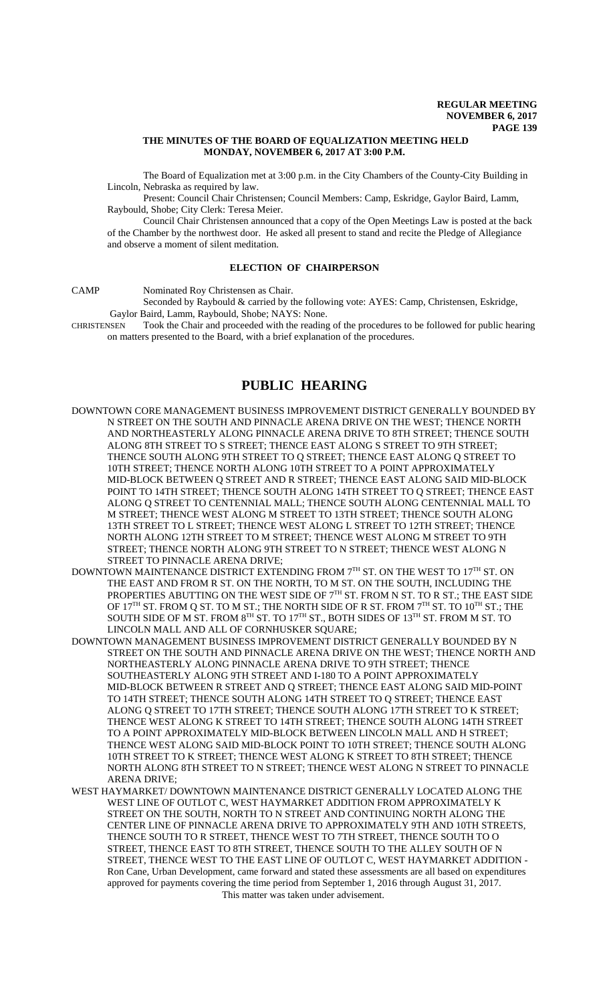# **THE MINUTES OF THE BOARD OF EQUALIZATION MEETING HELD MONDAY, NOVEMBER 6, 2017 AT 3:00 P.M.**

The Board of Equalization met at 3:00 p.m. in the City Chambers of the County-City Building in Lincoln, Nebraska as required by law.

Present: Council Chair Christensen; Council Members: Camp, Eskridge, Gaylor Baird, Lamm, Raybould, Shobe; City Clerk: Teresa Meier.

Council Chair Christensen announced that a copy of the Open Meetings Law is posted at the back of the Chamber by the northwest door. He asked all present to stand and recite the Pledge of Allegiance and observe a moment of silent meditation.

# **ELECTION OF CHAIRPERSON**

CAMP Nominated Roy Christensen as Chair.

Seconded by Raybould & carried by the following vote: AYES: Camp, Christensen, Eskridge,

Gaylor Baird, Lamm, Raybould, Shobe; NAYS: None.<br>CHRISTENSEN Took the Chair and proceeded with the reading Took the Chair and proceeded with the reading of the procedures to be followed for public hearing on matters presented to the Board, with a brief explanation of the procedures.

# **PUBLIC HEARING**

- DOWNTOWN CORE MANAGEMENT BUSINESS IMPROVEMENT DISTRICT GENERALLY BOUNDED BY N STREET ON THE SOUTH AND PINNACLE ARENA DRIVE ON THE WEST; THENCE NORTH AND NORTHEASTERLY ALONG PINNACLE ARENA DRIVE TO 8TH STREET; THENCE SOUTH ALONG 8TH STREET TO S STREET; THENCE EAST ALONG S STREET TO 9TH STREET; THENCE SOUTH ALONG 9TH STREET TO Q STREET; THENCE EAST ALONG Q STREET TO 10TH STREET; THENCE NORTH ALONG 10TH STREET TO A POINT APPROXIMATELY MID-BLOCK BETWEEN Q STREET AND R STREET; THENCE EAST ALONG SAID MID-BLOCK POINT TO 14TH STREET; THENCE SOUTH ALONG 14TH STREET TO Q STREET; THENCE EAST ALONG Q STREET TO CENTENNIAL MALL; THENCE SOUTH ALONG CENTENNIAL MALL TO M STREET; THENCE WEST ALONG M STREET TO 13TH STREET; THENCE SOUTH ALONG 13TH STREET TO L STREET; THENCE WEST ALONG L STREET TO 12TH STREET; THENCE NORTH ALONG 12TH STREET TO M STREET; THENCE WEST ALONG M STREET TO 9TH STREET; THENCE NORTH ALONG 9TH STREET TO N STREET; THENCE WEST ALONG N STREET TO PINNACLE ARENA DRIVE;
- DOWNTOWN MAINTENANCE DISTRICT EXTENDING FROM 7<sup>TH</sup> ST. ON THE WEST TO 17<sup>TH</sup> ST. ON THE EAST AND FROM R ST. ON THE NORTH, TO M ST. ON THE SOUTH, INCLUDING THE PROPERTIES ABUTTING ON THE WEST SIDE OF  $7<sup>TH</sup>$  ST. FROM N ST. TO R ST.; THE EAST SIDE OF 17<sup>TH</sup> ST. FROM Q ST. TO M ST.; THE NORTH SIDE OF R ST. FROM  $7<sup>TH</sup>$  ST. TO  $10<sup>TH</sup>$  ST.; THE SOUTH SIDE OF M ST. FROM  $8^{TH}$  ST. TO  $17^{TH}$  ST., BOTH SIDES OF  $13^{TH}$  ST. FROM M ST. TO LINCOLN MALL AND ALL OF CORNHUSKER SQUARE;
- DOWNTOWN MANAGEMENT BUSINESS IMPROVEMENT DISTRICT GENERALLY BOUNDED BY N STREET ON THE SOUTH AND PINNACLE ARENA DRIVE ON THE WEST; THENCE NORTH AND NORTHEASTERLY ALONG PINNACLE ARENA DRIVE TO 9TH STREET; THENCE SOUTHEASTERLY ALONG 9TH STREET AND I-180 TO A POINT APPROXIMATELY MID-BLOCK BETWEEN R STREET AND Q STREET; THENCE EAST ALONG SAID MID-POINT TO 14TH STREET; THENCE SOUTH ALONG 14TH STREET TO Q STREET; THENCE EAST ALONG Q STREET TO 17TH STREET; THENCE SOUTH ALONG 17TH STREET TO K STREET; THENCE WEST ALONG K STREET TO 14TH STREET; THENCE SOUTH ALONG 14TH STREET TO A POINT APPROXIMATELY MID-BLOCK BETWEEN LINCOLN MALL AND H STREET; THENCE WEST ALONG SAID MID-BLOCK POINT TO 10TH STREET; THENCE SOUTH ALONG 10TH STREET TO K STREET; THENCE WEST ALONG K STREET TO 8TH STREET; THENCE NORTH ALONG 8TH STREET TO N STREET; THENCE WEST ALONG N STREET TO PINNACLE ARENA DRIVE;
- WEST HAYMARKET/ DOWNTOWN MAINTENANCE DISTRICT GENERALLY LOCATED ALONG THE WEST LINE OF OUTLOT C, WEST HAYMARKET ADDITION FROM APPROXIMATELY K STREET ON THE SOUTH, NORTH TO N STREET AND CONTINUING NORTH ALONG THE CENTER LINE OF PINNACLE ARENA DRIVE TO APPROXIMATELY 9TH AND 10TH STREETS, THENCE SOUTH TO R STREET, THENCE WEST TO 7TH STREET, THENCE SOUTH TO O STREET, THENCE EAST TO 8TH STREET, THENCE SOUTH TO THE ALLEY SOUTH OF N STREET, THENCE WEST TO THE EAST LINE OF OUTLOT C, WEST HAYMARKET ADDITION - Ron Cane, Urban Development, came forward and stated these assessments are all based on expenditures approved for payments covering the time period from September 1, 2016 through August 31, 2017. This matter was taken under advisement.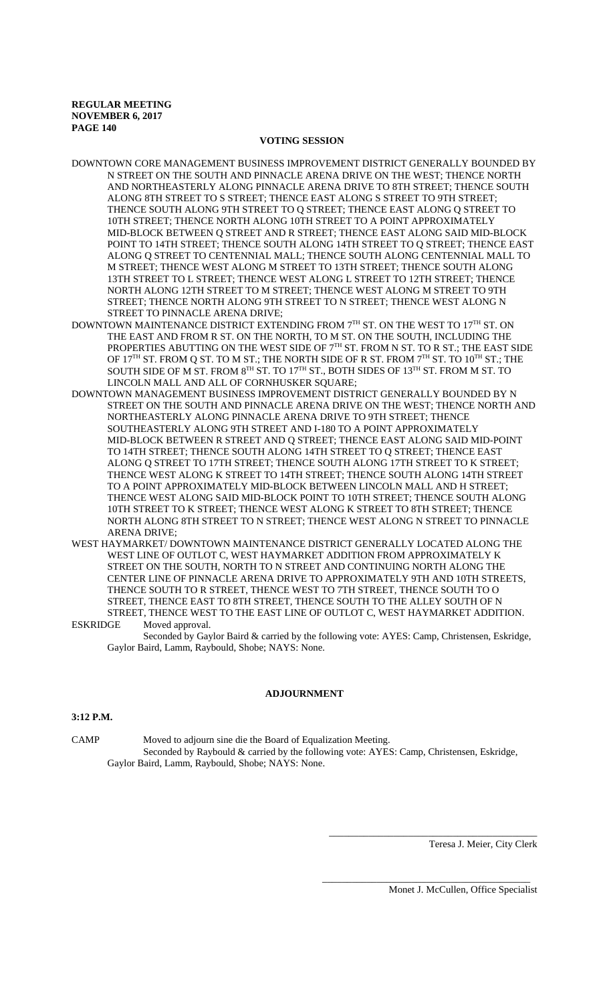# **VOTING SESSION**

- DOWNTOWN CORE MANAGEMENT BUSINESS IMPROVEMENT DISTRICT GENERALLY BOUNDED BY N STREET ON THE SOUTH AND PINNACLE ARENA DRIVE ON THE WEST; THENCE NORTH AND NORTHEASTERLY ALONG PINNACLE ARENA DRIVE TO 8TH STREET; THENCE SOUTH ALONG 8TH STREET TO S STREET; THENCE EAST ALONG S STREET TO 9TH STREET; THENCE SOUTH ALONG 9TH STREET TO Q STREET; THENCE EAST ALONG Q STREET TO 10TH STREET; THENCE NORTH ALONG 10TH STREET TO A POINT APPROXIMATELY MID-BLOCK BETWEEN Q STREET AND R STREET; THENCE EAST ALONG SAID MID-BLOCK POINT TO 14TH STREET; THENCE SOUTH ALONG 14TH STREET TO Q STREET; THENCE EAST ALONG Q STREET TO CENTENNIAL MALL; THENCE SOUTH ALONG CENTENNIAL MALL TO M STREET; THENCE WEST ALONG M STREET TO 13TH STREET; THENCE SOUTH ALONG 13TH STREET TO L STREET; THENCE WEST ALONG L STREET TO 12TH STREET; THENCE NORTH ALONG 12TH STREET TO M STREET; THENCE WEST ALONG M STREET TO 9TH STREET; THENCE NORTH ALONG 9TH STREET TO N STREET; THENCE WEST ALONG N STREET TO PINNACLE ARENA DRIVE;
- DOWNTOWN MAINTENANCE DISTRICT EXTENDING FROM 7TH ST. ON THE WEST TO 17TH ST. ON THE EAST AND FROM R ST. ON THE NORTH, TO M ST. ON THE SOUTH, INCLUDING THE PROPERTIES ABUTTING ON THE WEST SIDE OF  $7<sup>TH</sup>$  ST. FROM N ST. TO R ST.; THE EAST SIDE OF 17<sup>TH</sup> ST. FROM Q ST. TO M ST.; THE NORTH SIDE OF R ST. FROM  $7<sup>TH</sup>$  ST. TO 10<sup>TH</sup> ST.; THE SOUTH SIDE OF M ST. FROM  $8^{TH}$  ST. TO 17<sup>TH</sup> ST., BOTH SIDES OF 13<sup>TH</sup> ST. FROM M ST. TO LINCOLN MALL AND ALL OF CORNHUSKER SQUARE;
- DOWNTOWN MANAGEMENT BUSINESS IMPROVEMENT DISTRICT GENERALLY BOUNDED BY N STREET ON THE SOUTH AND PINNACLE ARENA DRIVE ON THE WEST; THENCE NORTH AND NORTHEASTERLY ALONG PINNACLE ARENA DRIVE TO 9TH STREET; THENCE SOUTHEASTERLY ALONG 9TH STREET AND I-180 TO A POINT APPROXIMATELY MID-BLOCK BETWEEN R STREET AND Q STREET; THENCE EAST ALONG SAID MID-POINT TO 14TH STREET; THENCE SOUTH ALONG 14TH STREET TO Q STREET; THENCE EAST ALONG Q STREET TO 17TH STREET; THENCE SOUTH ALONG 17TH STREET TO K STREET; THENCE WEST ALONG K STREET TO 14TH STREET; THENCE SOUTH ALONG 14TH STREET TO A POINT APPROXIMATELY MID-BLOCK BETWEEN LINCOLN MALL AND H STREET; THENCE WEST ALONG SAID MID-BLOCK POINT TO 10TH STREET; THENCE SOUTH ALONG 10TH STREET TO K STREET; THENCE WEST ALONG K STREET TO 8TH STREET; THENCE NORTH ALONG 8TH STREET TO N STREET; THENCE WEST ALONG N STREET TO PINNACLE ARENA DRIVE;
- WEST HAYMARKET/ DOWNTOWN MAINTENANCE DISTRICT GENERALLY LOCATED ALONG THE WEST LINE OF OUTLOT C, WEST HAYMARKET ADDITION FROM APPROXIMATELY K STREET ON THE SOUTH, NORTH TO N STREET AND CONTINUING NORTH ALONG THE CENTER LINE OF PINNACLE ARENA DRIVE TO APPROXIMATELY 9TH AND 10TH STREETS, THENCE SOUTH TO R STREET, THENCE WEST TO 7TH STREET, THENCE SOUTH TO O STREET, THENCE EAST TO 8TH STREET, THENCE SOUTH TO THE ALLEY SOUTH OF N STREET, THENCE WEST TO THE EAST LINE OF OUTLOT C, WEST HAYMARKET ADDITION.

ESKRIDGE Moved approval. Seconded by Gaylor Baird & carried by the following vote: AYES: Camp, Christensen, Eskridge, Gaylor Baird, Lamm, Raybould, Shobe; NAYS: None.

# **ADJOURNMENT**

# **3:12 P.M.**

CAMP Moved to adjourn sine die the Board of Equalization Meeting. Seconded by Raybould & carried by the following vote: AYES: Camp, Christensen, Eskridge, Gaylor Baird, Lamm, Raybould, Shobe; NAYS: None.

Teresa J. Meier, City Clerk

Monet J. McCullen, Office Specialist

\_\_\_\_\_\_\_\_\_\_\_\_\_\_\_\_\_\_\_\_\_\_\_\_\_\_\_\_\_\_\_\_\_\_\_\_\_\_\_\_\_\_

\_\_\_\_\_\_\_\_\_\_\_\_\_\_\_\_\_\_\_\_\_\_\_\_\_\_\_\_\_\_\_\_\_\_\_\_\_\_\_\_\_\_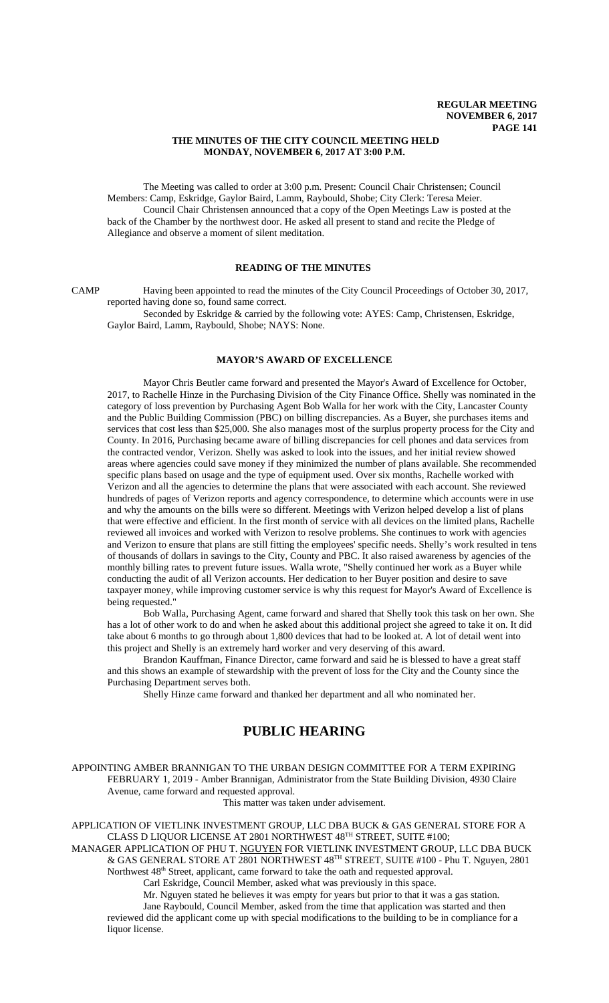# **THE MINUTES OF THE CITY COUNCIL MEETING HELD MONDAY, NOVEMBER 6, 2017 AT 3:00 P.M.**

The Meeting was called to order at 3:00 p.m. Present: Council Chair Christensen; Council Members: Camp, Eskridge, Gaylor Baird, Lamm, Raybould, Shobe; City Clerk: Teresa Meier. Council Chair Christensen announced that a copy of the Open Meetings Law is posted at the back of the Chamber by the northwest door. He asked all present to stand and recite the Pledge of Allegiance and observe a moment of silent meditation.

# **READING OF THE MINUTES**

CAMP Having been appointed to read the minutes of the City Council Proceedings of October 30, 2017, reported having done so, found same correct.

Seconded by Eskridge & carried by the following vote: AYES: Camp, Christensen, Eskridge, Gaylor Baird, Lamm, Raybould, Shobe; NAYS: None.

# **MAYOR'S AWARD OF EXCELLENCE**

Mayor Chris Beutler came forward and presented the Mayor's Award of Excellence for October, 2017, to Rachelle Hinze in the Purchasing Division of the City Finance Office. Shelly was nominated in the category of loss prevention by Purchasing Agent Bob Walla for her work with the City, Lancaster County and the Public Building Commission (PBC) on billing discrepancies. As a Buyer, she purchases items and services that cost less than \$25,000. She also manages most of the surplus property process for the City and County. In 2016, Purchasing became aware of billing discrepancies for cell phones and data services from the contracted vendor, Verizon. Shelly was asked to look into the issues, and her initial review showed areas where agencies could save money if they minimized the number of plans available. She recommended specific plans based on usage and the type of equipment used. Over six months, Rachelle worked with Verizon and all the agencies to determine the plans that were associated with each account. She reviewed hundreds of pages of Verizon reports and agency correspondence, to determine which accounts were in use and why the amounts on the bills were so different. Meetings with Verizon helped develop a list of plans that were effective and efficient. In the first month of service with all devices on the limited plans, Rachelle reviewed all invoices and worked with Verizon to resolve problems. She continues to work with agencies and Verizon to ensure that plans are still fitting the employees' specific needs. Shelly's work resulted in tens of thousands of dollars in savings to the City, County and PBC. It also raised awareness by agencies of the monthly billing rates to prevent future issues. Walla wrote, "Shelly continued her work as a Buyer while conducting the audit of all Verizon accounts. Her dedication to her Buyer position and desire to save taxpayer money, while improving customer service is why this request for Mayor's Award of Excellence is being requested.

Bob Walla, Purchasing Agent, came forward and shared that Shelly took this task on her own. She has a lot of other work to do and when he asked about this additional project she agreed to take it on. It did take about 6 months to go through about 1,800 devices that had to be looked at. A lot of detail went into this project and Shelly is an extremely hard worker and very deserving of this award.

Brandon Kauffman, Finance Director, came forward and said he is blessed to have a great staff and this shows an example of stewardship with the prevent of loss for the City and the County since the Purchasing Department serves both.

Shelly Hinze came forward and thanked her department and all who nominated her.

# **PUBLIC HEARING**

APPOINTING AMBER BRANNIGAN TO THE URBAN DESIGN COMMITTEE FOR A TERM EXPIRING FEBRUARY 1, 2019 - Amber Brannigan, Administrator from the State Building Division, 4930 Claire Avenue, came forward and requested approval.

This matter was taken under advisement.

APPLICATION OF VIETLINK INVESTMENT GROUP, LLC DBA BUCK & GAS GENERAL STORE FOR A CLASS D LIQUOR LICENSE AT 2801 NORTHWEST 48TH STREET, SUITE #100;

MANAGER APPLICATION OF PHU T. NGUYEN FOR VIETLINK INVESTMENT GROUP, LLC DBA BUCK & GAS GENERAL STORE AT 2801 NORTHWEST 48TH STREET, SUITE #100 - Phu T. Nguyen, 2801 Northwest 48<sup>th</sup> Street, applicant, came forward to take the oath and requested approval.

Carl Eskridge, Council Member, asked what was previously in this space.

Mr. Nguyen stated he believes it was empty for years but prior to that it was a gas station. Jane Raybould, Council Member, asked from the time that application was started and then reviewed did the applicant come up with special modifications to the building to be in compliance for a liquor license.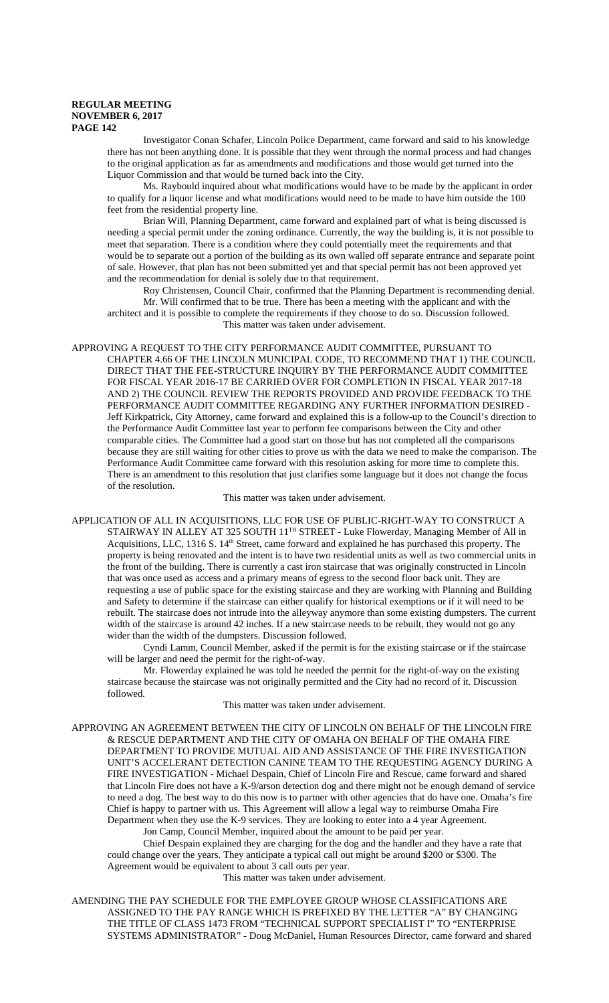Investigator Conan Schafer, Lincoln Police Department, came forward and said to his knowledge there has not been anything done. It is possible that they went through the normal process and had changes to the original application as far as amendments and modifications and those would get turned into the Liquor Commission and that would be turned back into the City.

Ms. Raybould inquired about what modifications would have to be made by the applicant in order to qualify for a liquor license and what modifications would need to be made to have him outside the 100 feet from the residential property line.

Brian Will, Planning Department, came forward and explained part of what is being discussed is needing a special permit under the zoning ordinance. Currently, the way the building is, it is not possible to meet that separation. There is a condition where they could potentially meet the requirements and that would be to separate out a portion of the building as its own walled off separate entrance and separate point of sale. However, that plan has not been submitted yet and that special permit has not been approved yet and the recommendation for denial is solely due to that requirement.

Roy Christensen, Council Chair, confirmed that the Planning Department is recommending denial. Mr. Will confirmed that to be true. There has been a meeting with the applicant and with the architect and it is possible to complete the requirements if they choose to do so. Discussion followed. This matter was taken under advisement.

APPROVING A REQUEST TO THE CITY PERFORMANCE AUDIT COMMITTEE, PURSUANT TO CHAPTER 4.66 OF THE LINCOLN MUNICIPAL CODE, TO RECOMMEND THAT 1) THE COUNCIL DIRECT THAT THE FEE-STRUCTURE INQUIRY BY THE PERFORMANCE AUDIT COMMITTEE FOR FISCAL YEAR 2016-17 BE CARRIED OVER FOR COMPLETION IN FISCAL YEAR 2017-18 AND 2) THE COUNCIL REVIEW THE REPORTS PROVIDED AND PROVIDE FEEDBACK TO THE PERFORMANCE AUDIT COMMITTEE REGARDING ANY FURTHER INFORMATION DESIRED - Jeff Kirkpatrick, City Attorney, came forward and explained this is a follow-up to the Council's direction to the Performance Audit Committee last year to perform fee comparisons between the City and other comparable cities. The Committee had a good start on those but has not completed all the comparisons because they are still waiting for other cities to prove us with the data we need to make the comparison. The Performance Audit Committee came forward with this resolution asking for more time to complete this. There is an amendment to this resolution that just clarifies some language but it does not change the focus of the resolution.

This matter was taken under advisement.

APPLICATION OF ALL IN ACQUISITIONS, LLC FOR USE OF PUBLIC-RIGHT-WAY TO CONSTRUCT A STAIRWAY IN ALLEY AT 325 SOUTH 11<sup>TH</sup> STREET - Luke Flowerday, Managing Member of All in Acquisitions, LLC, 1316 S. 14<sup>th</sup> Street, came forward and explained he has purchased this property. The property is being renovated and the intent is to have two residential units as well as two commercial units in the front of the building. There is currently a cast iron staircase that was originally constructed in Lincoln that was once used as access and a primary means of egress to the second floor back unit. They are requesting a use of public space for the existing staircase and they are working with Planning and Building and Safety to determine if the staircase can either qualify for historical exemptions or if it will need to be rebuilt. The staircase does not intrude into the alleyway anymore than some existing dumpsters. The current width of the staircase is around 42 inches. If a new staircase needs to be rebuilt, they would not go any wider than the width of the dumpsters. Discussion followed.

Cyndi Lamm, Council Member, asked if the permit is for the existing staircase or if the staircase will be larger and need the permit for the right-of-way.

Mr. Flowerday explained he was told he needed the permit for the right-of-way on the existing staircase because the staircase was not originally permitted and the City had no record of it. Discussion followed.

This matter was taken under advisement.

APPROVING AN AGREEMENT BETWEEN THE CITY OF LINCOLN ON BEHALF OF THE LINCOLN FIRE & RESCUE DEPARTMENT AND THE CITY OF OMAHA ON BEHALF OF THE OMAHA FIRE DEPARTMENT TO PROVIDE MUTUAL AID AND ASSISTANCE OF THE FIRE INVESTIGATION UNIT'S ACCELERANT DETECTION CANINE TEAM TO THE REQUESTING AGENCY DURING A FIRE INVESTIGATION - Michael Despain, Chief of Lincoln Fire and Rescue, came forward and shared that Lincoln Fire does not have a K-9/arson detection dog and there might not be enough demand of service to need a dog. The best way to do this now is to partner with other agencies that do have one. Omaha's fire Chief is happy to partner with us. This Agreement will allow a legal way to reimburse Omaha Fire Department when they use the K-9 services. They are looking to enter into a 4 year Agreement.

Jon Camp, Council Member, inquired about the amount to be paid per year.

Chief Despain explained they are charging for the dog and the handler and they have a rate that could change over the years. They anticipate a typical call out might be around \$200 or \$300. The Agreement would be equivalent to about 3 call outs per year.

This matter was taken under advisement.

AMENDING THE PAY SCHEDULE FOR THE EMPLOYEE GROUP WHOSE CLASSIFICATIONS ARE ASSIGNED TO THE PAY RANGE WHICH IS PREFIXED BY THE LETTER "A" BY CHANGING THE TITLE OF CLASS 1473 FROM "TECHNICAL SUPPORT SPECIALIST I" TO "ENTERPRISE SYSTEMS ADMINISTRATOR" - Doug McDaniel, Human Resources Director, came forward and shared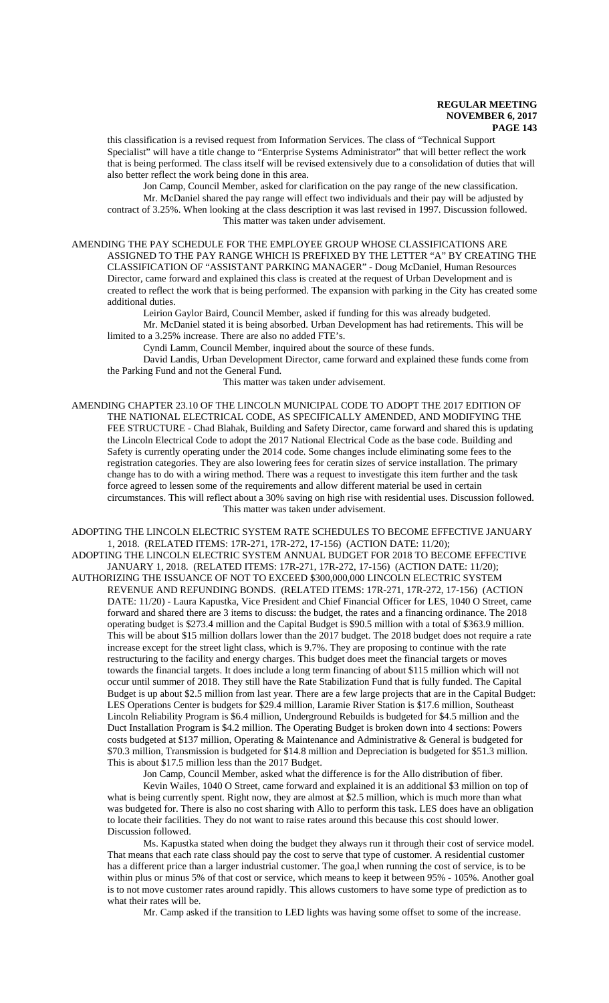this classification is a revised request from Information Services. The class of "Technical Support Specialist" will have a title change to "Enterprise Systems Administrator" that will better reflect the work that is being performed. The class itself will be revised extensively due to a consolidation of duties that will also better reflect the work being done in this area.

Jon Camp, Council Member, asked for clarification on the pay range of the new classification. Mr. McDaniel shared the pay range will effect two individuals and their pay will be adjusted by contract of 3.25%. When looking at the class description it was last revised in 1997. Discussion followed. This matter was taken under advisement.

AMENDING THE PAY SCHEDULE FOR THE EMPLOYEE GROUP WHOSE CLASSIFICATIONS ARE ASSIGNED TO THE PAY RANGE WHICH IS PREFIXED BY THE LETTER "A" BY CREATING THE CLASSIFICATION OF "ASSISTANT PARKING MANAGER" - Doug McDaniel, Human Resources Director, came forward and explained this class is created at the request of Urban Development and is created to reflect the work that is being performed. The expansion with parking in the City has created some additional duties.

Leirion Gaylor Baird, Council Member, asked if funding for this was already budgeted. Mr. McDaniel stated it is being absorbed. Urban Development has had retirements. This will be limited to a 3.25% increase. There are also no added FTE's.

Cyndi Lamm, Council Member, inquired about the source of these funds.

David Landis, Urban Development Director, came forward and explained these funds come from the Parking Fund and not the General Fund.

This matter was taken under advisement.

AMENDING CHAPTER 23.10 OF THE LINCOLN MUNICIPAL CODE TO ADOPT THE 2017 EDITION OF THE NATIONAL ELECTRICAL CODE, AS SPECIFICALLY AMENDED, AND MODIFYING THE FEE STRUCTURE - Chad Blahak, Building and Safety Director, came forward and shared this is updating the Lincoln Electrical Code to adopt the 2017 National Electrical Code as the base code. Building and Safety is currently operating under the 2014 code. Some changes include eliminating some fees to the registration categories. They are also lowering fees for ceratin sizes of service installation. The primary change has to do with a wiring method. There was a request to investigate this item further and the task force agreed to lessen some of the requirements and allow different material be used in certain circumstances. This will reflect about a 30% saving on high rise with residential uses. Discussion followed. This matter was taken under advisement.

ADOPTING THE LINCOLN ELECTRIC SYSTEM RATE SCHEDULES TO BECOME EFFECTIVE JANUARY 1, 2018. (RELATED ITEMS: 17R-271, 17R-272, 17-156) (ACTION DATE: 11/20);

ADOPTING THE LINCOLN ELECTRIC SYSTEM ANNUAL BUDGET FOR 2018 TO BECOME EFFECTIVE JANUARY 1, 2018. (RELATED ITEMS: 17R-271, 17R-272, 17-156) (ACTION DATE: 11/20); AUTHORIZING THE ISSUANCE OF NOT TO EXCEED \$300,000,000 LINCOLN ELECTRIC SYSTEM REVENUE AND REFUNDING BONDS. (RELATED ITEMS: 17R-271, 17R-272, 17-156) (ACTION DATE: 11/20) - Laura Kapustka, Vice President and Chief Financial Officer for LES, 1040 O Street, came forward and shared there are 3 items to discuss: the budget, the rates and a financing ordinance. The 2018 operating budget is \$273.4 million and the Capital Budget is \$90.5 million with a total of \$363.9 million. This will be about \$15 million dollars lower than the 2017 budget. The 2018 budget does not require a rate increase except for the street light class, which is 9.7%. They are proposing to continue with the rate restructuring to the facility and energy charges. This budget does meet the financial targets or moves towards the financial targets. It does include a long term financing of about \$115 million which will not occur until summer of 2018. They still have the Rate Stabilization Fund that is fully funded. The Capital Budget is up about \$2.5 million from last year. There are a few large projects that are in the Capital Budget: LES Operations Center is budgets for \$29.4 million, Laramie River Station is \$17.6 million, Southeast Lincoln Reliability Program is \$6.4 million, Underground Rebuilds is budgeted for \$4.5 million and the Duct Installation Program is \$4.2 million. The Operating Budget is broken down into 4 sections: Powers costs budgeted at \$137 million, Operating & Maintenance and Administrative & General is budgeted for \$70.3 million, Transmission is budgeted for \$14.8 million and Depreciation is budgeted for \$51.3 million. This is about \$17.5 million less than the 2017 Budget.

Jon Camp, Council Member, asked what the difference is for the Allo distribution of fiber.

Kevin Wailes, 1040 O Street, came forward and explained it is an additional \$3 million on top of what is being currently spent. Right now, they are almost at \$2.5 million, which is much more than what was budgeted for. There is also no cost sharing with Allo to perform this task. LES does have an obligation to locate their facilities. They do not want to raise rates around this because this cost should lower. Discussion followed.

Ms. Kapustka stated when doing the budget they always run it through their cost of service model. That means that each rate class should pay the cost to serve that type of customer. A residential customer has a different price than a larger industrial customer. The goa,l when running the cost of service, is to be within plus or minus 5% of that cost or service, which means to keep it between 95% - 105%. Another goal is to not move customer rates around rapidly. This allows customers to have some type of prediction as to what their rates will be.

Mr. Camp asked if the transition to LED lights was having some offset to some of the increase.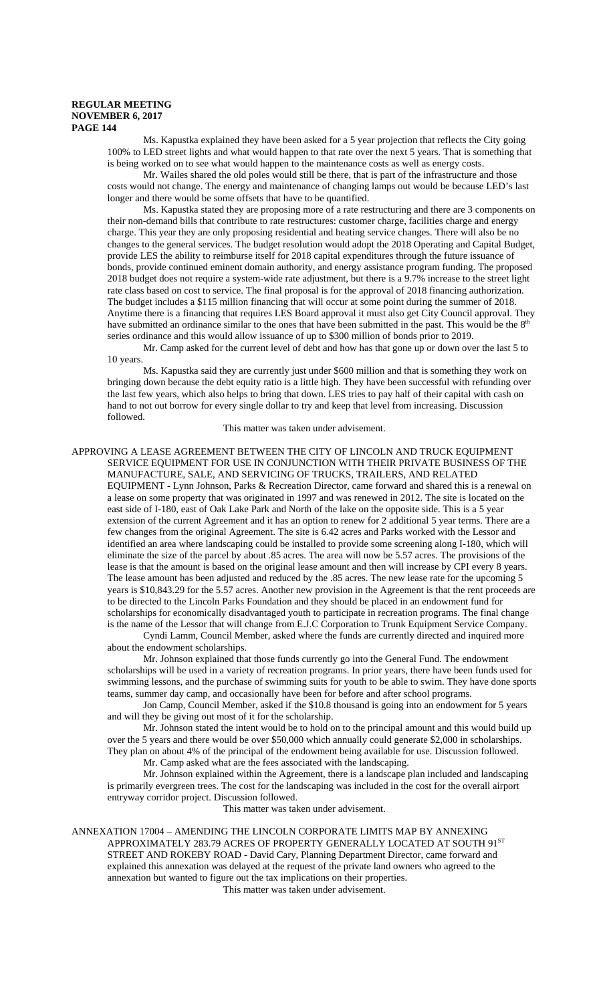Ms. Kapustka explained they have been asked for a 5 year projection that reflects the City going 100% to LED street lights and what would happen to that rate over the next 5 years. That is something that is being worked on to see what would happen to the maintenance costs as well as energy costs.

Mr. Wailes shared the old poles would still be there, that is part of the infrastructure and those costs would not change. The energy and maintenance of changing lamps out would be because LED's last longer and there would be some offsets that have to be quantified.

Ms. Kapustka stated they are proposing more of a rate restructuring and there are 3 components on their non-demand bills that contribute to rate restructures: customer charge, facilities charge and energy charge. This year they are only proposing residential and heating service changes. There will also be no changes to the general services. The budget resolution would adopt the 2018 Operating and Capital Budget, provide LES the ability to reimburse itself for 2018 capital expenditures through the future issuance of bonds, provide continued eminent domain authority, and energy assistance program funding. The proposed 2018 budget does not require a system-wide rate adjustment, but there is a 9.7% increase to the street light rate class based on cost to service. The final proposal is for the approval of 2018 financing authorization. The budget includes a \$115 million financing that will occur at some point during the summer of 2018. Anytime there is a financing that requires LES Board approval it must also get City Council approval. They have submitted an ordinance similar to the ones that have been submitted in the past. This would be the  $8<sup>th</sup>$ series ordinance and this would allow issuance of up to \$300 million of bonds prior to 2019.

Mr. Camp asked for the current level of debt and how has that gone up or down over the last 5 to 10 years.

Ms. Kapustka said they are currently just under \$600 million and that is something they work on bringing down because the debt equity ratio is a little high. They have been successful with refunding over the last few years, which also helps to bring that down. LES tries to pay half of their capital with cash on hand to not out borrow for every single dollar to try and keep that level from increasing. Discussion followed.

# This matter was taken under advisement.

# APPROVING A LEASE AGREEMENT BETWEEN THE CITY OF LINCOLN AND TRUCK EQUIPMENT SERVICE EQUIPMENT FOR USE IN CONJUNCTION WITH THEIR PRIVATE BUSINESS OF THE MANUFACTURE, SALE, AND SERVICING OF TRUCKS, TRAILERS, AND RELATED

EQUIPMENT - Lynn Johnson, Parks & Recreation Director, came forward and shared this is a renewal on a lease on some property that was originated in 1997 and was renewed in 2012. The site is located on the east side of I-180, east of Oak Lake Park and North of the lake on the opposite side. This is a 5 year extension of the current Agreement and it has an option to renew for 2 additional 5 year terms. There are a few changes from the original Agreement. The site is 6.42 acres and Parks worked with the Lessor and identified an area where landscaping could be installed to provide some screening along I-180, which will eliminate the size of the parcel by about .85 acres. The area will now be 5.57 acres. The provisions of the lease is that the amount is based on the original lease amount and then will increase by CPI every 8 years. The lease amount has been adjusted and reduced by the .85 acres. The new lease rate for the upcoming 5 years is \$10,843.29 for the 5.57 acres. Another new provision in the Agreement is that the rent proceeds are to be directed to the Lincoln Parks Foundation and they should be placed in an endowment fund for scholarships for economically disadvantaged youth to participate in recreation programs. The final change is the name of the Lessor that will change from E.J.C Corporation to Trunk Equipment Service Company.

Cyndi Lamm, Council Member, asked where the funds are currently directed and inquired more about the endowment scholarships.

Mr. Johnson explained that those funds currently go into the General Fund. The endowment scholarships will be used in a variety of recreation programs. In prior years, there have been funds used for swimming lessons, and the purchase of swimming suits for youth to be able to swim. They have done sports teams, summer day camp, and occasionally have been for before and after school programs.

Jon Camp, Council Member, asked if the \$10.8 thousand is going into an endowment for 5 years and will they be giving out most of it for the scholarship.

Mr. Johnson stated the intent would be to hold on to the principal amount and this would build up over the 5 years and there would be over \$50,000 which annually could generate \$2,000 in scholarships. They plan on about 4% of the principal of the endowment being available for use. Discussion followed. Mr. Camp asked what are the fees associated with the landscaping.

Mr. Johnson explained within the Agreement, there is a landscape plan included and landscaping is primarily evergreen trees. The cost for the landscaping was included in the cost for the overall airport

entryway corridor project. Discussion followed.

This matter was taken under advisement.

ANNEXATION 17004 – AMENDING THE LINCOLN CORPORATE LIMITS MAP BY ANNEXING APPROXIMATELY 283.79 ACRES OF PROPERTY GENERALLY LOCATED AT SOUTH 91ST STREET AND ROKEBY ROAD - David Cary, Planning Department Director, came forward and explained this annexation was delayed at the request of the private land owners who agreed to the annexation but wanted to figure out the tax implications on their properties. This matter was taken under advisement.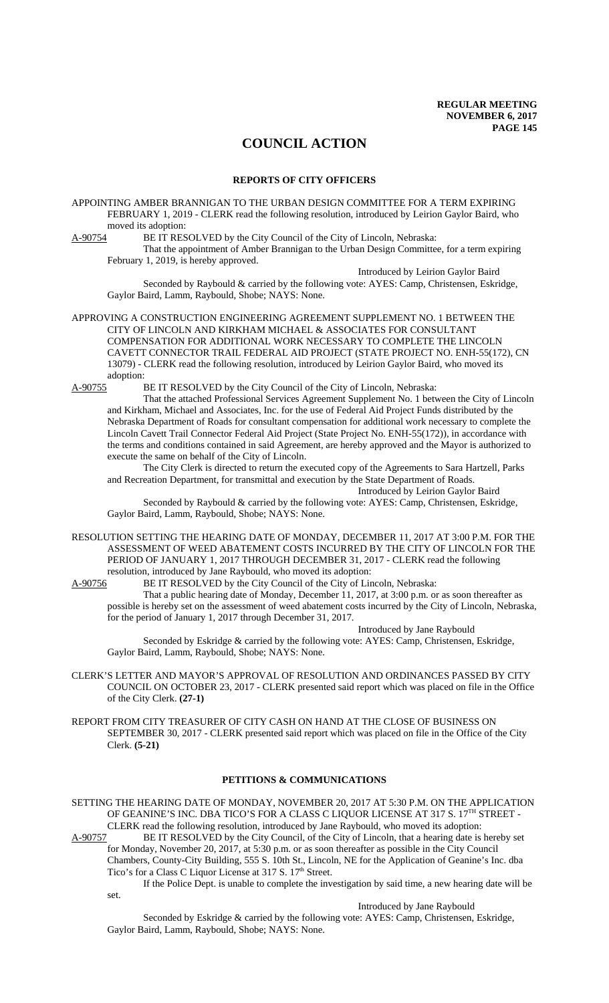# **COUNCIL ACTION**

#### **REPORTS OF CITY OFFICERS**

APPOINTING AMBER BRANNIGAN TO THE URBAN DESIGN COMMITTEE FOR A TERM EXPIRING FEBRUARY 1, 2019 - CLERK read the following resolution, introduced by Leirion Gaylor Baird, who moved its adoption:

A-90754 BE IT RESOLVED by the City Council of the City of Lincoln, Nebraska:

That the appointment of Amber Brannigan to the Urban Design Committee, for a term expiring February 1, 2019, is hereby approved.

Introduced by Leirion Gaylor Baird Seconded by Raybould & carried by the following vote: AYES: Camp, Christensen, Eskridge, Gaylor Baird, Lamm, Raybould, Shobe; NAYS: None.

APPROVING A CONSTRUCTION ENGINEERING AGREEMENT SUPPLEMENT NO. 1 BETWEEN THE CITY OF LINCOLN AND KIRKHAM MICHAEL & ASSOCIATES FOR CONSULTANT COMPENSATION FOR ADDITIONAL WORK NECESSARY TO COMPLETE THE LINCOLN CAVETT CONNECTOR TRAIL FEDERAL AID PROJECT (STATE PROJECT NO. ENH-55(172), CN 13079) - CLERK read the following resolution, introduced by Leirion Gaylor Baird, who moved its adoption:<br>A-90755 H

BE IT RESOLVED by the City Council of the City of Lincoln, Nebraska:

That the attached Professional Services Agreement Supplement No. 1 between the City of Lincoln and Kirkham, Michael and Associates, Inc. for the use of Federal Aid Project Funds distributed by the Nebraska Department of Roads for consultant compensation for additional work necessary to complete the Lincoln Cavett Trail Connector Federal Aid Project (State Project No. ENH-55(172)), in accordance with the terms and conditions contained in said Agreement, are hereby approved and the Mayor is authorized to execute the same on behalf of the City of Lincoln.

The City Clerk is directed to return the executed copy of the Agreements to Sara Hartzell, Parks and Recreation Department, for transmittal and execution by the State Department of Roads.

Introduced by Leirion Gaylor Baird Seconded by Raybould & carried by the following vote: AYES: Camp, Christensen, Eskridge, Gaylor Baird, Lamm, Raybould, Shobe; NAYS: None.

RESOLUTION SETTING THE HEARING DATE OF MONDAY, DECEMBER 11, 2017 AT 3:00 P.M. FOR THE ASSESSMENT OF WEED ABATEMENT COSTS INCURRED BY THE CITY OF LINCOLN FOR THE PERIOD OF JANUARY 1, 2017 THROUGH DECEMBER 31, 2017 - CLERK read the following resolution, introduced by Jane Raybould, who moved its adoption:<br>A-90756 BE IT RESOLVED by the City Council of the City of Lin

BE IT RESOLVED by the City Council of the City of Lincoln, Nebraska:

That a public hearing date of Monday, December 11, 2017, at 3:00 p.m. or as soon thereafter as possible is hereby set on the assessment of weed abatement costs incurred by the City of Lincoln, Nebraska, for the period of January 1, 2017 through December 31, 2017.

Introduced by Jane Raybould Seconded by Eskridge & carried by the following vote: AYES: Camp, Christensen, Eskridge, Gaylor Baird, Lamm, Raybould, Shobe; NAYS: None.

CLERK'S LETTER AND MAYOR'S APPROVAL OF RESOLUTION AND ORDINANCES PASSED BY CITY COUNCIL ON OCTOBER 23, 2017 - CLERK presented said report which was placed on file in the Office of the City Clerk. **(27-1)**

REPORT FROM CITY TREASURER OF CITY CASH ON HAND AT THE CLOSE OF BUSINESS ON SEPTEMBER 30, 2017 - CLERK presented said report which was placed on file in the Office of the City Clerk. **(5-21)**

# **PETITIONS & COMMUNICATIONS**

SETTING THE HEARING DATE OF MONDAY, NOVEMBER 20, 2017 AT 5:30 P.M. ON THE APPLICATION OF GEANINE'S INC. DBA TICO'S FOR A CLASS C LIQUOR LICENSE AT 317 S. 17<sup>TH</sup> STREET -CLERK read the following resolution, introduced by Jane Raybould, who moved its adoption:

A-90757 BE IT RESOLVED by the City Council, of the City of Lincoln, that a hearing date is hereby set for Monday, November 20, 2017, at 5:30 p.m. or as soon thereafter as possible in the City Council Chambers, County-City Building, 555 S. 10th St., Lincoln, NE for the Application of Geanine's Inc. dba Tico's for a Class C Liquor License at 317 S. 17<sup>th</sup> Street.

If the Police Dept. is unable to complete the investigation by said time, a new hearing date will be set.

Introduced by Jane Raybould

Seconded by Eskridge & carried by the following vote: AYES: Camp, Christensen, Eskridge, Gaylor Baird, Lamm, Raybould, Shobe; NAYS: None.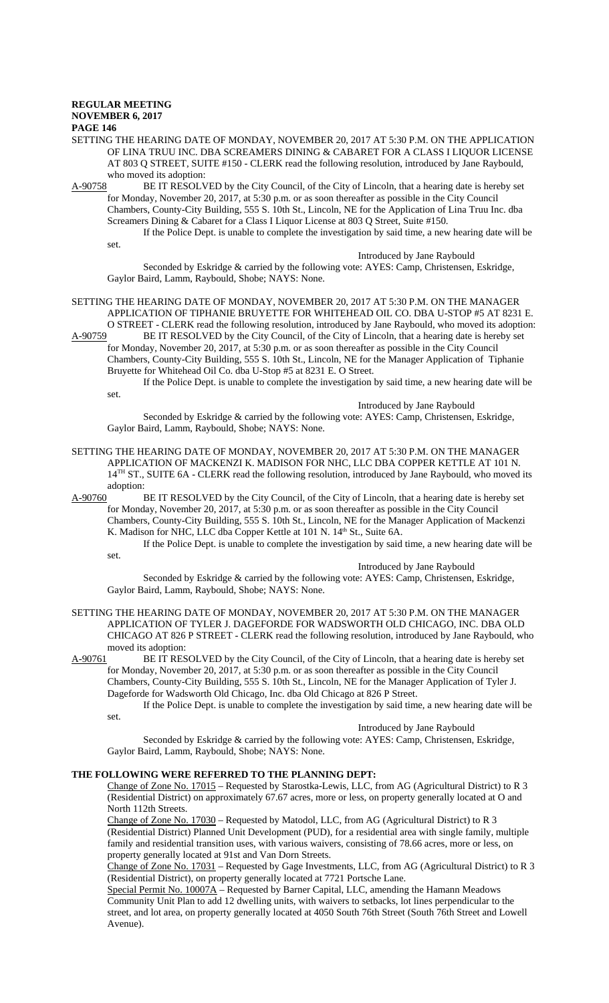SETTING THE HEARING DATE OF MONDAY, NOVEMBER 20, 2017 AT 5:30 P.M. ON THE APPLICATION OF LINA TRUU INC. DBA SCREAMERS DINING & CABARET FOR A CLASS I LIQUOR LICENSE AT 803 Q STREET, SUITE #150 - CLERK read the following resolution, introduced by Jane Raybould, who moved its adoption:

A-90758 BE IT RESOLVED by the City Council, of the City of Lincoln, that a hearing date is hereby set for Monday, November 20, 2017, at 5:30 p.m. or as soon thereafter as possible in the City Council Chambers, County-City Building, 555 S. 10th St., Lincoln, NE for the Application of Lina Truu Inc. dba Screamers Dining & Cabaret for a Class I Liquor License at 803 Q Street, Suite #150.

If the Police Dept. is unable to complete the investigation by said time, a new hearing date will be set.

Introduced by Jane Raybould

Seconded by Eskridge & carried by the following vote: AYES: Camp, Christensen, Eskridge, Gaylor Baird, Lamm, Raybould, Shobe; NAYS: None.

SETTING THE HEARING DATE OF MONDAY, NOVEMBER 20, 2017 AT 5:30 P.M. ON THE MANAGER APPLICATION OF TIPHANIE BRUYETTE FOR WHITEHEAD OIL CO. DBA U-STOP #5 AT 8231 E. O STREET - CLERK read the following resolution, introduced by Jane Raybould, who moved its adoption:<br>A-90759 BE IT RESOLVED by the City Council, of the City of Lincoln, that a hearing date is hereby set BE IT RESOLVED by the City Council, of the City of Lincoln, that a hearing date is hereby set

for Monday, November 20, 2017, at 5:30 p.m. or as soon thereafter as possible in the City Council Chambers, County-City Building, 555 S. 10th St., Lincoln, NE for the Manager Application of Tiphanie Bruyette for Whitehead Oil Co. dba U-Stop #5 at 8231 E. O Street.

If the Police Dept. is unable to complete the investigation by said time, a new hearing date will be set.

Introduced by Jane Raybould

Seconded by Eskridge & carried by the following vote: AYES: Camp, Christensen, Eskridge, Gaylor Baird, Lamm, Raybould, Shobe; NAYS: None.

#### SETTING THE HEARING DATE OF MONDAY, NOVEMBER 20, 2017 AT 5:30 P.M. ON THE MANAGER APPLICATION OF MACKENZI K. MADISON FOR NHC, LLC DBA COPPER KETTLE AT 101 N. 14<sup>TH</sup> ST., SUITE 6A - CLERK read the following resolution, introduced by Jane Raybould, who moved its adoption:

A-90760 BE IT RESOLVED by the City Council, of the City of Lincoln, that a hearing date is hereby set for Monday, November 20, 2017, at 5:30 p.m. or as soon thereafter as possible in the City Council Chambers, County-City Building, 555 S. 10th St., Lincoln, NE for the Manager Application of Mackenzi K. Madison for NHC, LLC dba Copper Kettle at 101 N. 14<sup>th</sup> St., Suite 6A. If the Police Dept. is unable to complete the investigation by said time, a new hearing date will be

set.

Introduced by Jane Raybould

Seconded by Eskridge & carried by the following vote: AYES: Camp, Christensen, Eskridge, Gaylor Baird, Lamm, Raybould, Shobe; NAYS: None.

SETTING THE HEARING DATE OF MONDAY, NOVEMBER 20, 2017 AT 5:30 P.M. ON THE MANAGER APPLICATION OF TYLER J. DAGEFORDE FOR WADSWORTH OLD CHICAGO, INC. DBA OLD CHICAGO AT 826 P STREET - CLERK read the following resolution, introduced by Jane Raybould, who moved its adoption:<br>A-90761 BE IT RES

BE IT RESOLVED by the City Council, of the City of Lincoln, that a hearing date is hereby set for Monday, November 20, 2017, at 5:30 p.m. or as soon thereafter as possible in the City Council Chambers, County-City Building, 555 S. 10th St., Lincoln, NE for the Manager Application of Tyler J. Dageforde for Wadsworth Old Chicago, Inc. dba Old Chicago at 826 P Street.

If the Police Dept. is unable to complete the investigation by said time, a new hearing date will be set.

Introduced by Jane Raybould

Seconded by Eskridge & carried by the following vote: AYES: Camp, Christensen, Eskridge, Gaylor Baird, Lamm, Raybould, Shobe; NAYS: None.

# **THE FOLLOWING WERE REFERRED TO THE PLANNING DEPT:**

Change of Zone No. 17015 – Requested by Starostka-Lewis, LLC, from AG (Agricultural District) to R 3 (Residential District) on approximately 67.67 acres, more or less, on property generally located at O and North 112th Streets.

Change of Zone No. 17030 – Requested by Matodol, LLC, from AG (Agricultural District) to R 3 (Residential District) Planned Unit Development (PUD), for a residential area with single family, multiple family and residential transition uses, with various waivers, consisting of 78.66 acres, more or less, on property generally located at 91st and Van Dorn Streets.

Change of Zone No. 17031 – Requested by Gage Investments, LLC, from AG (Agricultural District) to R 3 (Residential District), on property generally located at 7721 Portsche Lane.

Special Permit No. 10007A – Requested by Barner Capital, LLC, amending the Hamann Meadows Community Unit Plan to add 12 dwelling units, with waivers to setbacks, lot lines perpendicular to the street, and lot area, on property generally located at 4050 South 76th Street (South 76th Street and Lowell Avenue).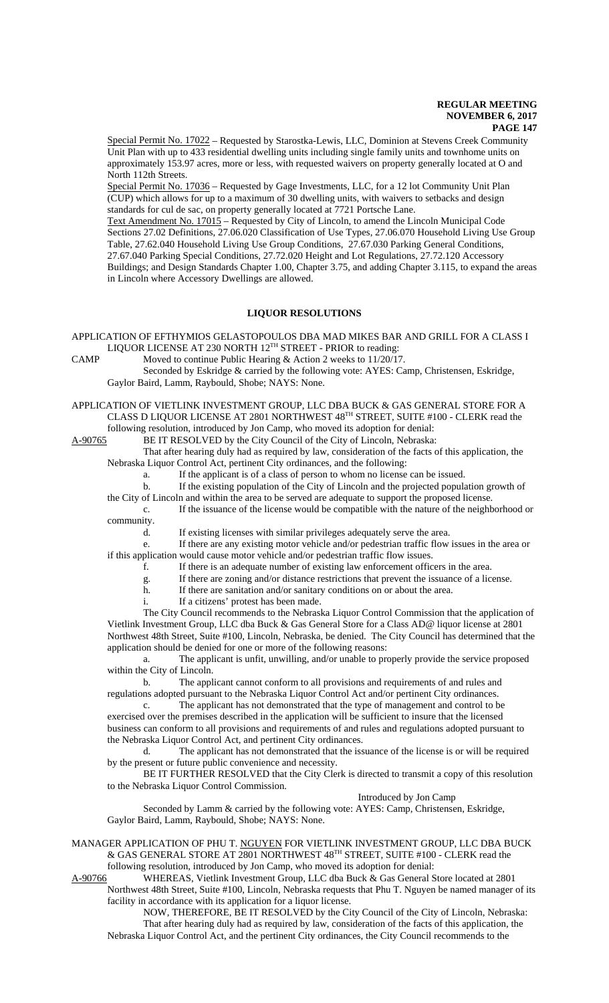Special Permit No. 17022 – Requested by Starostka-Lewis, LLC, Dominion at Stevens Creek Community Unit Plan with up to 433 residential dwelling units including single family units and townhome units on approximately 153.97 acres, more or less, with requested waivers on property generally located at O and North 112th Streets.

Special Permit No. 17036 – Requested by Gage Investments, LLC, for a 12 lot Community Unit Plan (CUP) which allows for up to a maximum of 30 dwelling units, with waivers to setbacks and design standards for cul de sac, on property generally located at 7721 Portsche Lane.

Text Amendment No. 17015 – Requested by City of Lincoln, to amend the Lincoln Municipal Code Sections 27.02 Definitions, 27.06.020 Classification of Use Types, 27.06.070 Household Living Use Group Table, 27.62.040 Household Living Use Group Conditions, 27.67.030 Parking General Conditions, 27.67.040 Parking Special Conditions, 27.72.020 Height and Lot Regulations, 27.72.120 Accessory Buildings; and Design Standards Chapter 1.00, Chapter 3.75, and adding Chapter 3.115, to expand the areas in Lincoln where Accessory Dwellings are allowed.

# **LIQUOR RESOLUTIONS**

APPLICATION OF EFTHYMIOS GELASTOPOULOS DBA MAD MIKES BAR AND GRILL FOR A CLASS I LIQUOR LICENSE AT 230 NORTH  $12^{\text{TH}}$  STREET - PRIOR to reading:

CAMP Moved to continue Public Hearing & Action 2 weeks to 11/20/17.

Seconded by Eskridge & carried by the following vote: AYES: Camp, Christensen, Eskridge, Gaylor Baird, Lamm, Raybould, Shobe; NAYS: None.

APPLICATION OF VIETLINK INVESTMENT GROUP, LLC DBA BUCK & GAS GENERAL STORE FOR A CLASS D LIQUOR LICENSE AT 2801 NORTHWEST 48TH STREET, SUITE #100 - CLERK read the following resolution, introduced by Jon Camp, who moved its adoption for denial:

A-90765 BE IT RESOLVED by the City Council of the City of Lincoln, Nebraska:

That after hearing duly had as required by law, consideration of the facts of this application, the Nebraska Liquor Control Act, pertinent City ordinances, and the following:

a. If the applicant is of a class of person to whom no license can be issued.

b. If the existing population of the City of Lincoln and the projected population growth of

the City of Lincoln and within the area to be served are adequate to support the proposed license.

c. If the issuance of the license would be compatible with the nature of the neighborhood or community.

d. If existing licenses with similar privileges adequately serve the area.

e. If there are any existing motor vehicle and/or pedestrian traffic flow issues in the area or if this application would cause motor vehicle and/or pedestrian traffic flow issues.

f. If there is an adequate number of existing law enforcement officers in the area.

- g. If there are zoning and/or distance restrictions that prevent the issuance of a license.
- h. If there are sanitation and/or sanitary conditions on or about the area.
- i. If a citizens' protest has been made.

The City Council recommends to the Nebraska Liquor Control Commission that the application of Vietlink Investment Group, LLC dba Buck & Gas General Store for a Class AD@ liquor license at 2801 Northwest 48th Street, Suite #100, Lincoln, Nebraska, be denied. The City Council has determined that the application should be denied for one or more of the following reasons:

a. The applicant is unfit, unwilling, and/or unable to properly provide the service proposed within the City of Lincoln.

b. The applicant cannot conform to all provisions and requirements of and rules and regulations adopted pursuant to the Nebraska Liquor Control Act and/or pertinent City ordinances.

c. The applicant has not demonstrated that the type of management and control to be exercised over the premises described in the application will be sufficient to insure that the licensed business can conform to all provisions and requirements of and rules and regulations adopted pursuant to the Nebraska Liquor Control Act, and pertinent City ordinances.

d. The applicant has not demonstrated that the issuance of the license is or will be required by the present or future public convenience and necessity.

BE IT FURTHER RESOLVED that the City Clerk is directed to transmit a copy of this resolution to the Nebraska Liquor Control Commission.

Introduced by Jon Camp

Seconded by Lamm & carried by the following vote: AYES: Camp, Christensen, Eskridge, Gaylor Baird, Lamm, Raybould, Shobe; NAYS: None.

MANAGER APPLICATION OF PHU T. NGUYEN FOR VIETLINK INVESTMENT GROUP, LLC DBA BUCK & GAS GENERAL STORE AT 2801 NORTHWEST 48<sup>TH</sup> STREET, SUITE #100 - CLERK read the following resolution, introduced by Jon Camp, who moved its adoption for denial:

A-90766 WHEREAS, Vietlink Investment Group, LLC dba Buck & Gas General Store located at 2801

Northwest 48th Street, Suite #100, Lincoln, Nebraska requests that Phu T. Nguyen be named manager of its facility in accordance with its application for a liquor license.

NOW, THEREFORE, BE IT RESOLVED by the City Council of the City of Lincoln, Nebraska: That after hearing duly had as required by law, consideration of the facts of this application, the Nebraska Liquor Control Act, and the pertinent City ordinances, the City Council recommends to the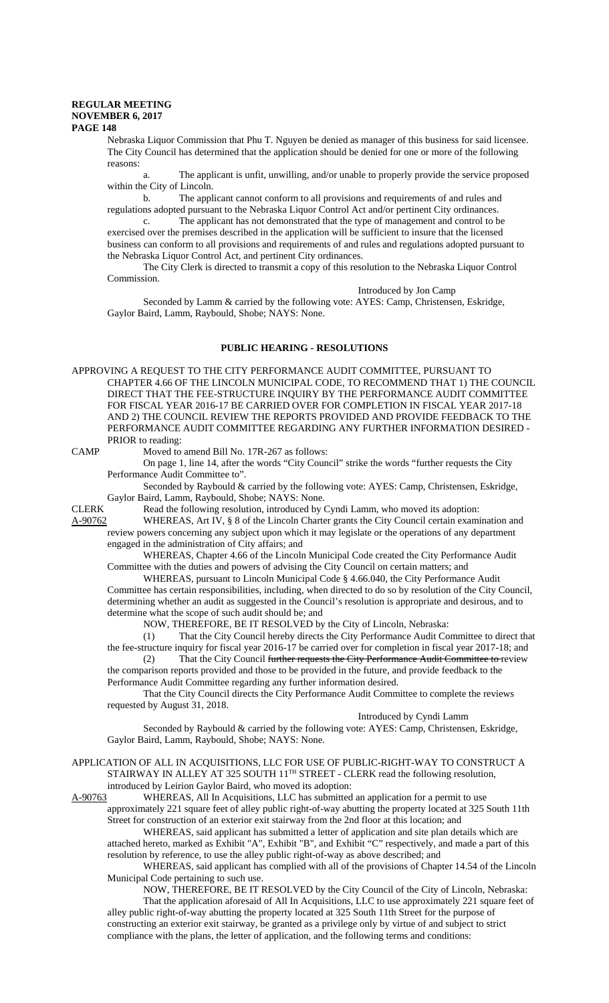Nebraska Liquor Commission that Phu T. Nguyen be denied as manager of this business for said licensee. The City Council has determined that the application should be denied for one or more of the following reasons:

a. The applicant is unfit, unwilling, and/or unable to properly provide the service proposed within the City of Lincoln.

b. The applicant cannot conform to all provisions and requirements of and rules and regulations adopted pursuant to the Nebraska Liquor Control Act and/or pertinent City ordinances.

c. The applicant has not demonstrated that the type of management and control to be exercised over the premises described in the application will be sufficient to insure that the licensed business can conform to all provisions and requirements of and rules and regulations adopted pursuant to the Nebraska Liquor Control Act, and pertinent City ordinances.

The City Clerk is directed to transmit a copy of this resolution to the Nebraska Liquor Control Commission.

#### Introduced by Jon Camp

Seconded by Lamm & carried by the following vote: AYES: Camp, Christensen, Eskridge, Gaylor Baird, Lamm, Raybould, Shobe; NAYS: None.

# **PUBLIC HEARING - RESOLUTIONS**

APPROVING A REQUEST TO THE CITY PERFORMANCE AUDIT COMMITTEE, PURSUANT TO CHAPTER 4.66 OF THE LINCOLN MUNICIPAL CODE, TO RECOMMEND THAT 1) THE COUNCIL DIRECT THAT THE FEE-STRUCTURE INQUIRY BY THE PERFORMANCE AUDIT COMMITTEE FOR FISCAL YEAR 2016-17 BE CARRIED OVER FOR COMPLETION IN FISCAL YEAR 2017-18 AND 2) THE COUNCIL REVIEW THE REPORTS PROVIDED AND PROVIDE FEEDBACK TO THE PERFORMANCE AUDIT COMMITTEE REGARDING ANY FURTHER INFORMATION DESIRED - PRIOR to reading:

CAMP Moved to amend Bill No. 17R-267 as follows:

On page 1, line 14, after the words "City Council" strike the words "further requests the City Performance Audit Committee to".

Seconded by Raybould & carried by the following vote: AYES: Camp, Christensen, Eskridge, Gaylor Baird, Lamm, Raybould, Shobe; NAYS: None.

CLERK Read the following resolution, introduced by Cyndi Lamm, who moved its adoption:

A-90762 WHEREAS, Art IV, § 8 of the Lincoln Charter grants the City Council certain examination and review powers concerning any subject upon which it may legislate or the operations of any department engaged in the administration of City affairs; and

WHEREAS, Chapter 4.66 of the Lincoln Municipal Code created the City Performance Audit Committee with the duties and powers of advising the City Council on certain matters; and

WHEREAS, pursuant to Lincoln Municipal Code § 4.66.040, the City Performance Audit Committee has certain responsibilities, including, when directed to do so by resolution of the City Council, determining whether an audit as suggested in the Council's resolution is appropriate and desirous, and to determine what the scope of such audit should be; and

NOW, THEREFORE, BE IT RESOLVED by the City of Lincoln, Nebraska:

(1) That the City Council hereby directs the City Performance Audit Committee to direct that the fee-structure inquiry for fiscal year 2016-17 be carried over for completion in fiscal year 2017-18; and

(2) That the City Council further requests the City Performance Audit Committee to review the comparison reports provided and those to be provided in the future, and provide feedback to the Performance Audit Committee regarding any further information desired.

That the City Council directs the City Performance Audit Committee to complete the reviews requested by August 31, 2018.

#### Introduced by Cyndi Lamm

Seconded by Raybould & carried by the following vote: AYES: Camp, Christensen, Eskridge, Gaylor Baird, Lamm, Raybould, Shobe; NAYS: None.

APPLICATION OF ALL IN ACQUISITIONS, LLC FOR USE OF PUBLIC-RIGHT-WAY TO CONSTRUCT A STAIRWAY IN ALLEY AT 325 SOUTH 11<sup>TH</sup> STREET - CLERK read the following resolution, introduced by Leirion Gaylor Baird, who moved its adoption:

A-90763 WHEREAS, All In Acquisitions, LLC has submitted an application for a permit to use approximately 221 square feet of alley public right-of-way abutting the property located at 325 South 11th Street for construction of an exterior exit stairway from the 2nd floor at this location; and

WHEREAS, said applicant has submitted a letter of application and site plan details which are attached hereto, marked as Exhibit "A", Exhibit "B", and Exhibit "C" respectively, and made a part of this resolution by reference, to use the alley public right-of-way as above described; and

WHEREAS, said applicant has complied with all of the provisions of Chapter 14.54 of the Lincoln Municipal Code pertaining to such use.

NOW, THEREFORE, BE IT RESOLVED by the City Council of the City of Lincoln, Nebraska: That the application aforesaid of All In Acquisitions, LLC to use approximately 221 square feet of

alley public right-of-way abutting the property located at 325 South 11th Street for the purpose of constructing an exterior exit stairway, be granted as a privilege only by virtue of and subject to strict compliance with the plans, the letter of application, and the following terms and conditions: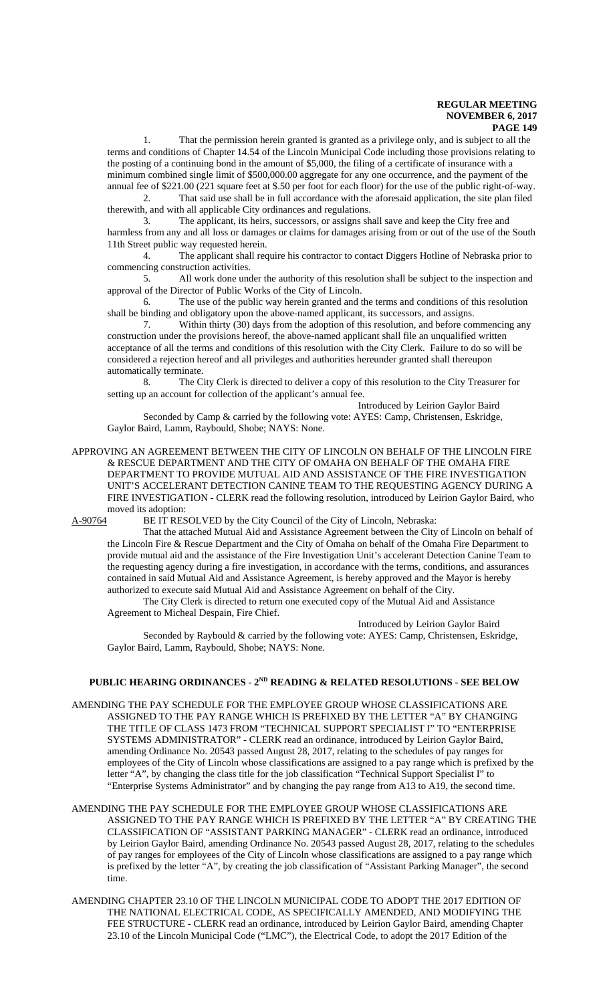1. That the permission herein granted is granted as a privilege only, and is subject to all the terms and conditions of Chapter 14.54 of the Lincoln Municipal Code including those provisions relating to the posting of a continuing bond in the amount of \$5,000, the filing of a certificate of insurance with a minimum combined single limit of \$500,000.00 aggregate for any one occurrence, and the payment of the annual fee of \$221.00 (221 square feet at \$.50 per foot for each floor) for the use of the public right-of-way.

2. That said use shall be in full accordance with the aforesaid application, the site plan filed therewith, and with all applicable City ordinances and regulations.

3. The applicant, its heirs, successors, or assigns shall save and keep the City free and harmless from any and all loss or damages or claims for damages arising from or out of the use of the South 11th Street public way requested herein.

4. The applicant shall require his contractor to contact Diggers Hotline of Nebraska prior to commencing construction activities.

5. All work done under the authority of this resolution shall be subject to the inspection and approval of the Director of Public Works of the City of Lincoln.

6. The use of the public way herein granted and the terms and conditions of this resolution shall be binding and obligatory upon the above-named applicant, its successors, and assigns.

7. Within thirty (30) days from the adoption of this resolution, and before commencing any construction under the provisions hereof, the above-named applicant shall file an unqualified written acceptance of all the terms and conditions of this resolution with the City Clerk. Failure to do so will be considered a rejection hereof and all privileges and authorities hereunder granted shall thereupon automatically terminate.

8. The City Clerk is directed to deliver a copy of this resolution to the City Treasurer for setting up an account for collection of the applicant's annual fee.

Introduced by Leirion Gaylor Baird

Seconded by Camp & carried by the following vote: AYES: Camp, Christensen, Eskridge, Gaylor Baird, Lamm, Raybould, Shobe; NAYS: None.

APPROVING AN AGREEMENT BETWEEN THE CITY OF LINCOLN ON BEHALF OF THE LINCOLN FIRE & RESCUE DEPARTMENT AND THE CITY OF OMAHA ON BEHALF OF THE OMAHA FIRE DEPARTMENT TO PROVIDE MUTUAL AID AND ASSISTANCE OF THE FIRE INVESTIGATION UNIT'S ACCELERANT DETECTION CANINE TEAM TO THE REQUESTING AGENCY DURING A FIRE INVESTIGATION - CLERK read the following resolution, introduced by Leirion Gaylor Baird, who moved its adoption:

A-90764 BE IT RESOLVED by the City Council of the City of Lincoln, Nebraska:

That the attached Mutual Aid and Assistance Agreement between the City of Lincoln on behalf of the Lincoln Fire & Rescue Department and the City of Omaha on behalf of the Omaha Fire Department to provide mutual aid and the assistance of the Fire Investigation Unit's accelerant Detection Canine Team to the requesting agency during a fire investigation, in accordance with the terms, conditions, and assurances contained in said Mutual Aid and Assistance Agreement, is hereby approved and the Mayor is hereby authorized to execute said Mutual Aid and Assistance Agreement on behalf of the City.

The City Clerk is directed to return one executed copy of the Mutual Aid and Assistance Agreement to Micheal Despain, Fire Chief.

Introduced by Leirion Gaylor Baird

Seconded by Raybould & carried by the following vote: AYES: Camp, Christensen, Eskridge, Gaylor Baird, Lamm, Raybould, Shobe; NAYS: None.

# **PUBLIC HEARING ORDINANCES - 2ND READING & RELATED RESOLUTIONS - SEE BELOW**

- AMENDING THE PAY SCHEDULE FOR THE EMPLOYEE GROUP WHOSE CLASSIFICATIONS ARE ASSIGNED TO THE PAY RANGE WHICH IS PREFIXED BY THE LETTER "A" BY CHANGING THE TITLE OF CLASS 1473 FROM "TECHNICAL SUPPORT SPECIALIST I" TO "ENTERPRISE SYSTEMS ADMINISTRATOR" - CLERK read an ordinance, introduced by Leirion Gaylor Baird, amending Ordinance No. 20543 passed August 28, 2017, relating to the schedules of pay ranges for employees of the City of Lincoln whose classifications are assigned to a pay range which is prefixed by the letter "A", by changing the class title for the job classification "Technical Support Specialist I" to "Enterprise Systems Administrator" and by changing the pay range from A13 to A19, the second time.
- AMENDING THE PAY SCHEDULE FOR THE EMPLOYEE GROUP WHOSE CLASSIFICATIONS ARE ASSIGNED TO THE PAY RANGE WHICH IS PREFIXED BY THE LETTER "A" BY CREATING THE CLASSIFICATION OF "ASSISTANT PARKING MANAGER" - CLERK read an ordinance, introduced by Leirion Gaylor Baird, amending Ordinance No. 20543 passed August 28, 2017, relating to the schedules of pay ranges for employees of the City of Lincoln whose classifications are assigned to a pay range which is prefixed by the letter "A", by creating the job classification of "Assistant Parking Manager", the second time.
- AMENDING CHAPTER 23.10 OF THE LINCOLN MUNICIPAL CODE TO ADOPT THE 2017 EDITION OF THE NATIONAL ELECTRICAL CODE, AS SPECIFICALLY AMENDED, AND MODIFYING THE FEE STRUCTURE - CLERK read an ordinance, introduced by Leirion Gaylor Baird, amending Chapter 23.10 of the Lincoln Municipal Code ("LMC"), the Electrical Code, to adopt the 2017 Edition of the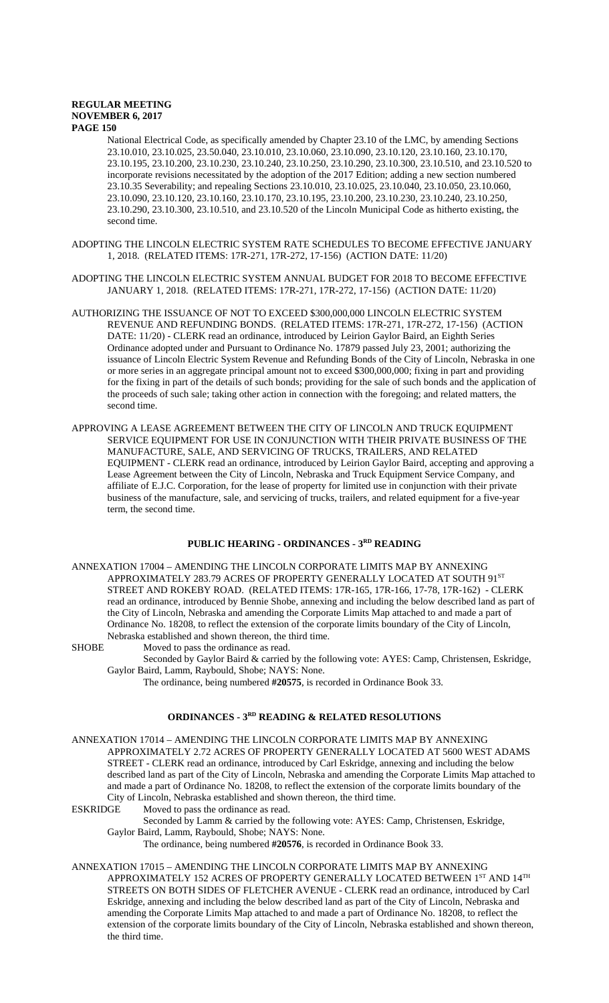National Electrical Code, as specifically amended by Chapter 23.10 of the LMC, by amending Sections 23.10.010, 23.10.025, 23.50.040, 23.10.010, 23.10.060, 23.10.090, 23.10.120, 23.10.160, 23.10.170, 23.10.195, 23.10.200, 23.10.230, 23.10.240, 23.10.250, 23.10.290, 23.10.300, 23.10.510, and 23.10.520 to incorporate revisions necessitated by the adoption of the 2017 Edition; adding a new section numbered 23.10.35 Severability; and repealing Sections 23.10.010, 23.10.025, 23.10.040, 23.10.050, 23.10.060, 23.10.090, 23.10.120, 23.10.160, 23.10.170, 23.10.195, 23.10.200, 23.10.230, 23.10.240, 23.10.250, 23.10.290, 23.10.300, 23.10.510, and 23.10.520 of the Lincoln Municipal Code as hitherto existing, the second time.

- ADOPTING THE LINCOLN ELECTRIC SYSTEM RATE SCHEDULES TO BECOME EFFECTIVE JANUARY 1, 2018. (RELATED ITEMS: 17R-271, 17R-272, 17-156) (ACTION DATE: 11/20)
- ADOPTING THE LINCOLN ELECTRIC SYSTEM ANNUAL BUDGET FOR 2018 TO BECOME EFFECTIVE JANUARY 1, 2018. (RELATED ITEMS: 17R-271, 17R-272, 17-156) (ACTION DATE: 11/20)
- AUTHORIZING THE ISSUANCE OF NOT TO EXCEED \$300,000,000 LINCOLN ELECTRIC SYSTEM REVENUE AND REFUNDING BONDS. (RELATED ITEMS: 17R-271, 17R-272, 17-156) (ACTION DATE: 11/20) - CLERK read an ordinance, introduced by Leirion Gaylor Baird, an Eighth Series Ordinance adopted under and Pursuant to Ordinance No. 17879 passed July 23, 2001; authorizing the issuance of Lincoln Electric System Revenue and Refunding Bonds of the City of Lincoln, Nebraska in one or more series in an aggregate principal amount not to exceed \$300,000,000; fixing in part and providing for the fixing in part of the details of such bonds; providing for the sale of such bonds and the application of the proceeds of such sale; taking other action in connection with the foregoing; and related matters, the second time.
- APPROVING A LEASE AGREEMENT BETWEEN THE CITY OF LINCOLN AND TRUCK EQUIPMENT SERVICE EQUIPMENT FOR USE IN CONJUNCTION WITH THEIR PRIVATE BUSINESS OF THE MANUFACTURE, SALE, AND SERVICING OF TRUCKS, TRAILERS, AND RELATED EQUIPMENT - CLERK read an ordinance, introduced by Leirion Gaylor Baird, accepting and approving a Lease Agreement between the City of Lincoln, Nebraska and Truck Equipment Service Company, and affiliate of E.J.C. Corporation, for the lease of property for limited use in conjunction with their private business of the manufacture, sale, and servicing of trucks, trailers, and related equipment for a five-year term, the second time.

# **PUBLIC HEARING - ORDINANCES - 3RD READING**

- ANNEXATION 17004 AMENDING THE LINCOLN CORPORATE LIMITS MAP BY ANNEXING APPROXIMATELY 283.79 ACRES OF PROPERTY GENERALLY LOCATED AT SOUTH  $91^{\rm ST}$ STREET AND ROKEBY ROAD. (RELATED ITEMS: 17R-165, 17R-166, 17-78, 17R-162) - CLERK read an ordinance, introduced by Bennie Shobe, annexing and including the below described land as part of the City of Lincoln, Nebraska and amending the Corporate Limits Map attached to and made a part of Ordinance No. 18208, to reflect the extension of the corporate limits boundary of the City of Lincoln, Nebraska established and shown thereon, the third time.
- SHOBE Moved to pass the ordinance as read.

Seconded by Gaylor Baird & carried by the following vote: AYES: Camp, Christensen, Eskridge, Gaylor Baird, Lamm, Raybould, Shobe; NAYS: None.

The ordinance, being numbered **#20575**, is recorded in Ordinance Book 33.

# **ORDINANCES - 3RD READING & RELATED RESOLUTIONS**

- ANNEXATION 17014 AMENDING THE LINCOLN CORPORATE LIMITS MAP BY ANNEXING APPROXIMATELY 2.72 ACRES OF PROPERTY GENERALLY LOCATED AT 5600 WEST ADAMS STREET - CLERK read an ordinance, introduced by Carl Eskridge, annexing and including the below described land as part of the City of Lincoln, Nebraska and amending the Corporate Limits Map attached to and made a part of Ordinance No. 18208, to reflect the extension of the corporate limits boundary of the City of Lincoln, Nebraska established and shown thereon, the third time.
- ESKRIDGE Moved to pass the ordinance as read.

Seconded by Lamm & carried by the following vote: AYES: Camp, Christensen, Eskridge, Gaylor Baird, Lamm, Raybould, Shobe; NAYS: None.

- The ordinance, being numbered **#20576**, is recorded in Ordinance Book 33.
- ANNEXATION 17015 AMENDING THE LINCOLN CORPORATE LIMITS MAP BY ANNEXING APPROXIMATELY 152 ACRES OF PROPERTY GENERALLY LOCATED BETWEEN  $1^{\mathrm{ST}}$  AND  $14^{\mathrm{TH}}$ STREETS ON BOTH SIDES OF FLETCHER AVENUE - CLERK read an ordinance, introduced by Carl Eskridge, annexing and including the below described land as part of the City of Lincoln, Nebraska and amending the Corporate Limits Map attached to and made a part of Ordinance No. 18208, to reflect the extension of the corporate limits boundary of the City of Lincoln, Nebraska established and shown thereon, the third time.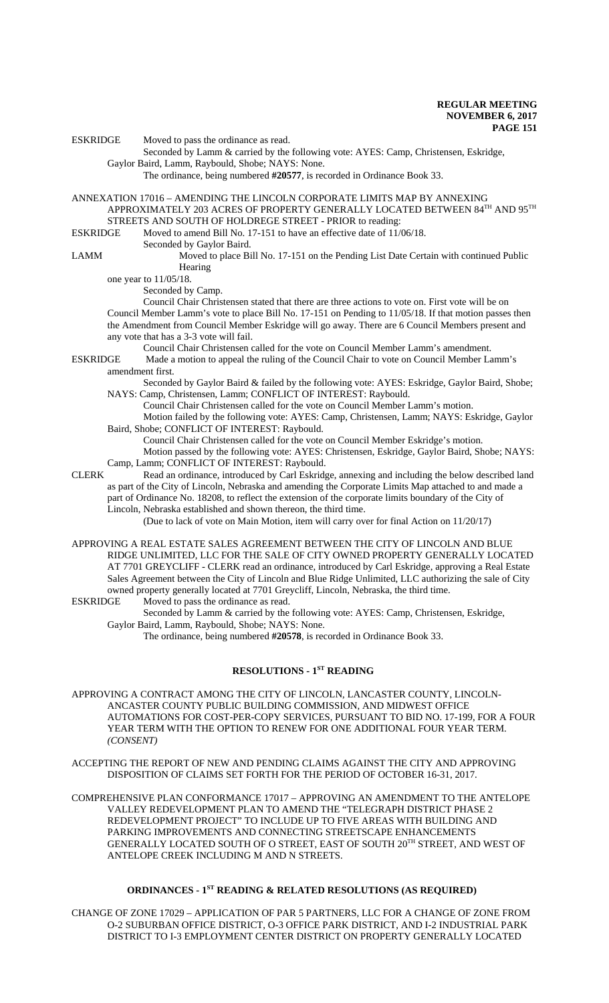ESKRIDGE Moved to pass the ordinance as read.

Seconded by Lamm & carried by the following vote: AYES: Camp, Christensen, Eskridge, Gaylor Baird, Lamm, Raybould, Shobe; NAYS: None.

The ordinance, being numbered **#20577**, is recorded in Ordinance Book 33.

ANNEXATION 17016 – AMENDING THE LINCOLN CORPORATE LIMITS MAP BY ANNEXING APPROXIMATELY 203 ACRES OF PROPERTY GENERALLY LOCATED BETWEEN  $84^{\mathrm{TH}}$  AND  $95^{\mathrm{TH}}$ STREETS AND SOUTH OF HOLDREGE STREET - PRIOR to reading:<br>ESKRIDGE Moved to amend Bill No. 17-151 to have an effective date of 11/

Moved to amend Bill No. 17-151 to have an effective date of 11/06/18.

Seconded by Gaylor Baird.

LAMM Moved to place Bill No. 17-151 on the Pending List Date Certain with continued Public Hearing

one year to 11/05/18.

Seconded by Camp.

Council Chair Christensen stated that there are three actions to vote on. First vote will be on Council Member Lamm's vote to place Bill No. 17-151 on Pending to 11/05/18. If that motion passes then the Amendment from Council Member Eskridge will go away. There are 6 Council Members present and any vote that has a 3-3 vote will fail.

Council Chair Christensen called for the vote on Council Member Lamm's amendment.

ESKRIDGE Made a motion to appeal the ruling of the Council Chair to vote on Council Member Lamm's amendment first.

Seconded by Gaylor Baird & failed by the following vote: AYES: Eskridge, Gaylor Baird, Shobe; NAYS: Camp, Christensen, Lamm; CONFLICT OF INTEREST: Raybould.

Council Chair Christensen called for the vote on Council Member Lamm's motion.

Motion failed by the following vote: AYES: Camp, Christensen, Lamm; NAYS: Eskridge, Gaylor Baird, Shobe; CONFLICT OF INTEREST: Raybould.

Council Chair Christensen called for the vote on Council Member Eskridge's motion. Motion passed by the following vote: AYES: Christensen, Eskridge, Gaylor Baird, Shobe; NAYS: Camp, Lamm; CONFLICT OF INTEREST: Raybould.

- 
- CLERK Read an ordinance, introduced by Carl Eskridge, annexing and including the below described land as part of the City of Lincoln, Nebraska and amending the Corporate Limits Map attached to and made a part of Ordinance No. 18208, to reflect the extension of the corporate limits boundary of the City of Lincoln, Nebraska established and shown thereon, the third time.

(Due to lack of vote on Main Motion, item will carry over for final Action on 11/20/17)

APPROVING A REAL ESTATE SALES AGREEMENT BETWEEN THE CITY OF LINCOLN AND BLUE RIDGE UNLIMITED, LLC FOR THE SALE OF CITY OWNED PROPERTY GENERALLY LOCATED AT 7701 GREYCLIFF - CLERK read an ordinance, introduced by Carl Eskridge, approving a Real Estate Sales Agreement between the City of Lincoln and Blue Ridge Unlimited, LLC authorizing the sale of City owned property generally located at 7701 Greycliff, Lincoln, Nebraska, the third time.

ESKRIDGE Moved to pass the ordinance as read.

Seconded by Lamm & carried by the following vote: AYES: Camp, Christensen, Eskridge, Gaylor Baird, Lamm, Raybould, Shobe; NAYS: None.

The ordinance, being numbered **#20578**, is recorded in Ordinance Book 33.

# **RESOLUTIONS - 1ST READING**

APPROVING A CONTRACT AMONG THE CITY OF LINCOLN, LANCASTER COUNTY, LINCOLN-ANCASTER COUNTY PUBLIC BUILDING COMMISSION, AND MIDWEST OFFICE AUTOMATIONS FOR COST-PER-COPY SERVICES, PURSUANT TO BID NO. 17-199, FOR A FOUR YEAR TERM WITH THE OPTION TO RENEW FOR ONE ADDITIONAL FOUR YEAR TERM. *(CONSENT)*

ACCEPTING THE REPORT OF NEW AND PENDING CLAIMS AGAINST THE CITY AND APPROVING DISPOSITION OF CLAIMS SET FORTH FOR THE PERIOD OF OCTOBER 16-31, 2017.

COMPREHENSIVE PLAN CONFORMANCE 17017 – APPROVING AN AMENDMENT TO THE ANTELOPE VALLEY REDEVELOPMENT PLAN TO AMEND THE "TELEGRAPH DISTRICT PHASE 2 REDEVELOPMENT PROJECT" TO INCLUDE UP TO FIVE AREAS WITH BUILDING AND PARKING IMPROVEMENTS AND CONNECTING STREETSCAPE ENHANCEMENTS GENERALLY LOCATED SOUTH OF O STREET, EAST OF SOUTH 20TH STREET, AND WEST OF ANTELOPE CREEK INCLUDING M AND N STREETS.

# **ORDINANCES - 1ST READING & RELATED RESOLUTIONS (AS REQUIRED)**

CHANGE OF ZONE 17029 – APPLICATION OF PAR 5 PARTNERS, LLC FOR A CHANGE OF ZONE FROM O-2 SUBURBAN OFFICE DISTRICT, O-3 OFFICE PARK DISTRICT, AND I-2 INDUSTRIAL PARK DISTRICT TO I-3 EMPLOYMENT CENTER DISTRICT ON PROPERTY GENERALLY LOCATED